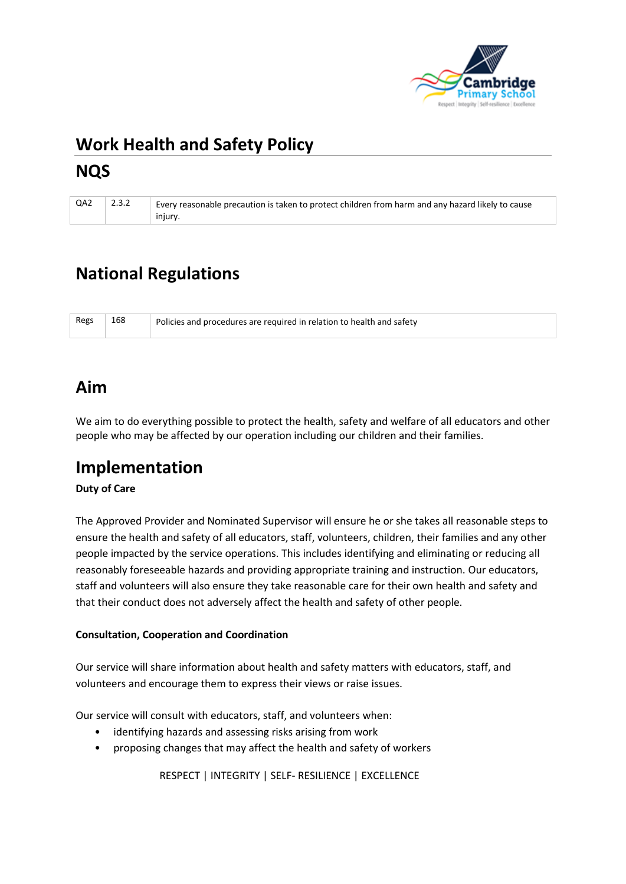

# **Work Health and Safety Policy NQS**

| QA2 2.3.2 | Every reasonable precaution is taken to protect children from harm and any hazard likely to cause |
|-----------|---------------------------------------------------------------------------------------------------|
|           | injury.                                                                                           |

# **National Regulations**

| Regs | 168 | Policies and procedures are required in relation to health and safety |
|------|-----|-----------------------------------------------------------------------|
|      |     |                                                                       |

## **Aim**

We aim to do everything possible to protect the health, safety and welfare of all educators and other people who may be affected by our operation including our children and their families.

### **Implementation**

#### **Duty of Care**

The Approved Provider and Nominated Supervisor will ensure he or she takes all reasonable steps to ensure the health and safety of all educators, staff, volunteers, children, their families and any other people impacted by the service operations. This includes identifying and eliminating or reducing all reasonably foreseeable hazards and providing appropriate training and instruction. Our educators, staff and volunteers will also ensure they take reasonable care for their own health and safety and that their conduct does not adversely affect the health and safety of other people.

#### **Consultation, Cooperation and Coordination**

Our service will share information about health and safety matters with educators, staff, and volunteers and encourage them to express their views or raise issues.

Our service will consult with educators, staff, and volunteers when:

- identifying hazards and assessing risks arising from work
- proposing changes that may affect the health and safety of workers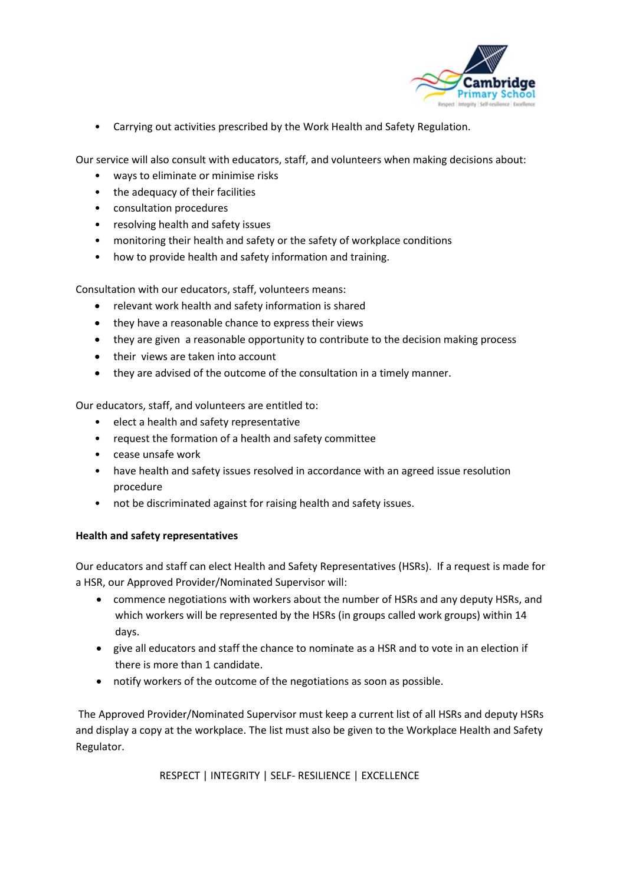

• Carrying out activities prescribed by the Work Health and Safety Regulation.

Our service will also consult with educators, staff, and volunteers when making decisions about:

- ways to eliminate or minimise risks
- the adequacy of their facilities
- consultation procedures
- resolving health and safety issues
- monitoring their health and safety or the safety of workplace conditions
- how to provide health and safety information and training.

Consultation with our educators, staff, volunteers means:

- relevant work health and safety information is shared
- they have a reasonable chance to express their views
- they are given a reasonable opportunity to contribute to the decision making process
- their views are taken into account
- they are advised of the outcome of the consultation in a timely manner.

Our educators, staff, and volunteers are entitled to:

- elect a health and safety representative
- request the formation of a health and safety committee
- cease unsafe work
- have health and safety issues resolved in accordance with an agreed issue resolution procedure
- not be discriminated against for raising health and safety issues.

#### **Health and safety representatives**

Our educators and staff can elect Health and Safety Representatives (HSRs). If a request is made for a HSR, our Approved Provider/Nominated Supervisor will:

- commence negotiations with workers about the number of HSRs and any deputy HSRs, and which workers will be represented by the HSRs (in groups called work groups) within 14 days.
- give all educators and staff the chance to nominate as a HSR and to vote in an election if there is more than 1 candidate.
- notify workers of the outcome of the negotiations as soon as possible.

The Approved Provider/Nominated Supervisor must keep a current list of all HSRs and deputy HSRs and display a copy at the workplace. The list must also be given to the Workplace Health and Safety Regulator.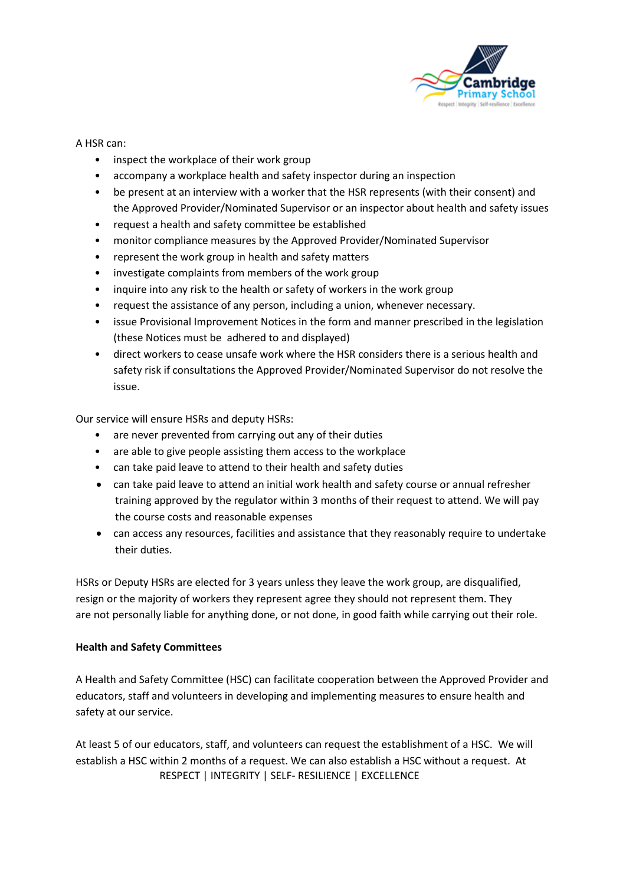

#### A HSR can:

- inspect the workplace of their work group
- accompany a workplace health and safety inspector during an inspection
- be present at an interview with a worker that the HSR represents (with their consent) and the Approved Provider/Nominated Supervisor or an inspector about health and safety issues
- request a health and safety committee be established
- monitor compliance measures by the Approved Provider/Nominated Supervisor
- represent the work group in health and safety matters
- investigate complaints from members of the work group
- inquire into any risk to the health or safety of workers in the work group
- request the assistance of any person, including a union, whenever necessary.
- issue Provisional Improvement Notices in the form and manner prescribed in the legislation (these Notices must be adhered to and displayed)
- direct workers to cease unsafe work where the HSR considers there is a serious health and safety risk if consultations the Approved Provider/Nominated Supervisor do not resolve the issue.

Our service will ensure HSRs and deputy HSRs:

- are never prevented from carrying out any of their duties
- are able to give people assisting them access to the workplace
- can take paid leave to attend to their health and safety duties
- can take paid leave to attend an initial work health and safety course or annual refresher training approved by the regulator within 3 months of their request to attend. We will pay the course costs and reasonable expenses
- can access any resources, facilities and assistance that they reasonably require to undertake their duties.

HSRs or Deputy HSRs are elected for 3 years unless they leave the work group, are disqualified, resign or the majority of workers they represent agree they should not represent them. They are not personally liable for anything done, or not done, in good faith while carrying out their role.

#### **Health and Safety Committees**

A Health and Safety Committee (HSC) can facilitate cooperation between the Approved Provider and educators, staff and volunteers in developing and implementing measures to ensure health and safety at our service.

 RESPECT | INTEGRITY | SELF- RESILIENCE | EXCELLENCE At least 5 of our educators, staff, and volunteers can request the establishment of a HSC. We will establish a HSC within 2 months of a request. We can also establish a HSC without a request. At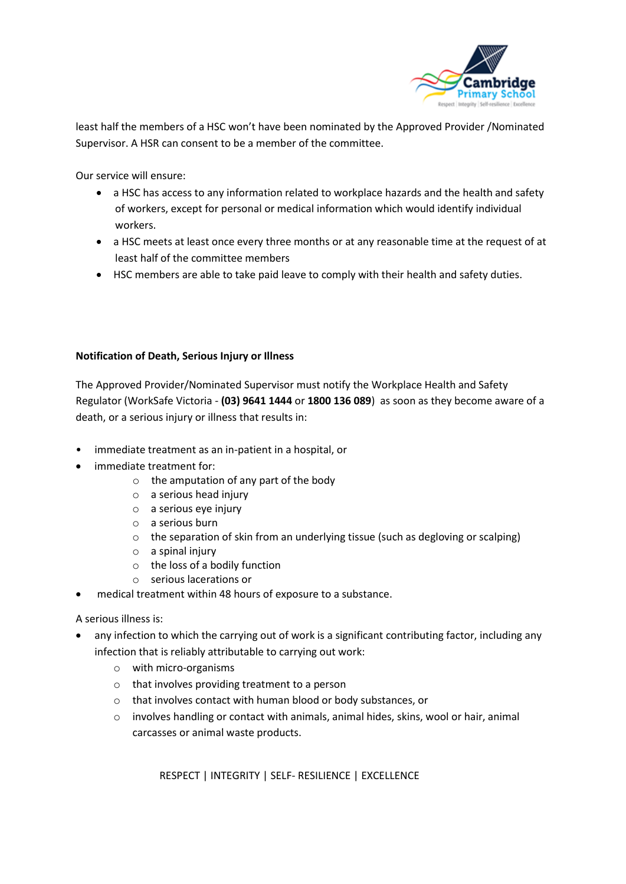

least half the members of a HSC won't have been nominated by the Approved Provider /Nominated Supervisor. A HSR can consent to be a member of the committee.

Our service will ensure:

- a HSC has access to any information related to workplace hazards and the health and safety of workers, except for personal or medical information which would identify individual workers.
- a HSC meets at least once every three months or at any reasonable time at the request of at least half of the committee members
- HSC members are able to take paid leave to comply with their health and safety duties.

#### **Notification of Death, Serious Injury or Illness**

The Approved Provider/Nominated Supervisor must notify the Workplace Health and Safety Regulator (WorkSafe Victoria - **(03) 9641 1444** or **1800 136 089**) as soon as they become aware of a death, or a serious injury or illness that results in:

- immediate treatment as an in-patient in a hospital, or
- immediate treatment for:
	- $\circ$  the amputation of any part of the body
	- o a serious head injury
	- o a serious eye injury
	- o a serious burn
	- o the separation of skin from an underlying tissue (such as degloving or scalping)
	- $\circ$  a spinal injury
	- o the loss of a bodily function
	- o serious lacerations or
- medical treatment within 48 hours of exposure to a substance.

A serious illness is:

- any infection to which the carrying out of work is a significant contributing factor, including any infection that is reliably attributable to carrying out work:
	- o with micro-organisms
	- o that involves providing treatment to a person
	- o that involves contact with human blood or body substances, or
	- o involves handling or contact with animals, animal hides, skins, wool or hair, animal carcasses or animal waste products.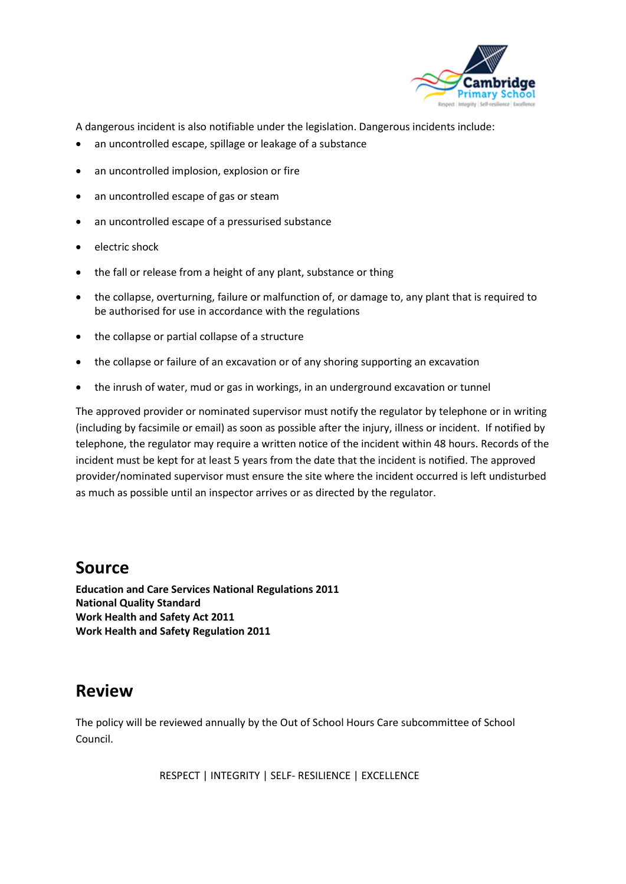

A dangerous incident is also notifiable under the legislation. Dangerous incidents include:

- an uncontrolled escape, spillage or leakage of a substance
- an uncontrolled implosion, explosion or fire
- an uncontrolled escape of gas or steam
- an uncontrolled escape of a pressurised substance
- electric shock
- the fall or release from a height of any plant, substance or thing
- the collapse, overturning, failure or malfunction of, or damage to, any plant that is required to be authorised for use in accordance with the regulations
- the collapse or partial collapse of a structure
- the collapse or failure of an excavation or of any shoring supporting an excavation
- the inrush of water, mud or gas in workings, in an underground excavation or tunnel

The approved provider or nominated supervisor must notify the regulator by telephone or in writing (including by facsimile or email) as soon as possible after the injury, illness or incident. If notified by telephone, the regulator may require a written notice of the incident within 48 hours. Records of the incident must be kept for at least 5 years from the date that the incident is notified. The approved provider/nominated supervisor must ensure the site where the incident occurred is left undisturbed as much as possible until an inspector arrives or as directed by the regulator.

### **Source**

**Education and Care Services National Regulations 2011 National Quality Standard Work Health and Safety Act 2011 Work Health and Safety Regulation 2011**

### **Review**

The policy will be reviewed annually by the Out of School Hours Care subcommittee of School Council.